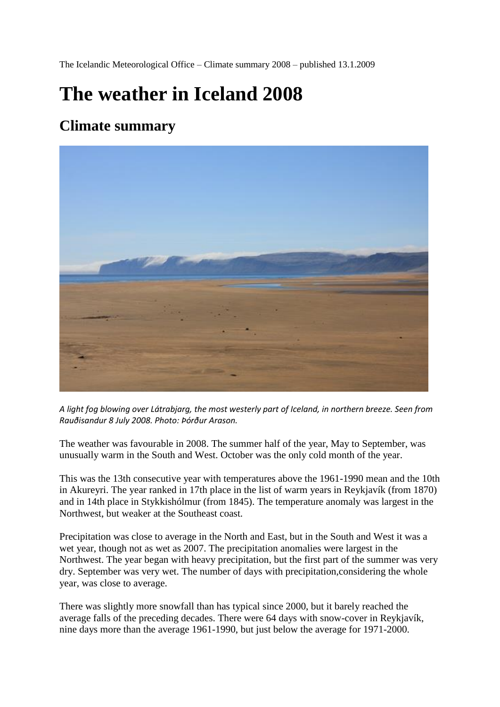The Icelandic Meteorological Office – Climate summary 2008 – published 13.1.2009

# **The weather in Iceland 2008**

# **Climate summary**



*A light fog blowing over Látrabjarg, the most westerly part of Iceland, in northern breeze. Seen from Rauðisandur 8 July 2008. Photo: Þórður Arason.*

The weather was favourable in 2008. The summer half of the year, May to September, was unusually warm in the South and West. October was the only cold month of the year.

This was the 13th consecutive year with temperatures above the 1961-1990 mean and the 10th in Akureyri. The year ranked in 17th place in the list of warm years in Reykjavík (from 1870) and in 14th place in Stykkishólmur (from 1845). The temperature anomaly was largest in the Northwest, but weaker at the Southeast coast.

Precipitation was close to average in the North and East, but in the South and West it was a wet year, though not as wet as 2007. The precipitation anomalies were largest in the Northwest. The year began with heavy precipitation, but the first part of the summer was very dry. September was very wet. The number of days with precipitation,considering the whole year, was close to average.

There was slightly more snowfall than has typical since 2000, but it barely reached the average falls of the preceding decades. There were 64 days with snow-cover in Reykjavík, nine days more than the average 1961-1990, but just below the average for 1971-2000.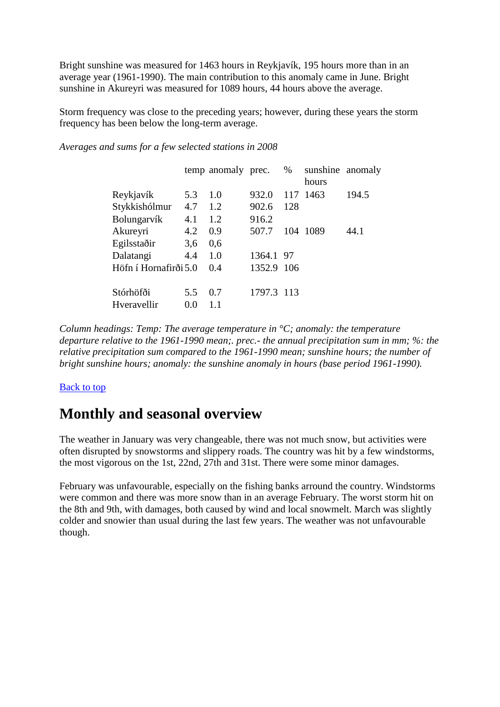Bright sunshine was measured for 1463 hours in Reykjavík, 195 hours more than in an average year (1961-1990). The main contribution to this anomaly came in June. Bright sunshine in Akureyri was measured for 1089 hours, 44 hours above the average.

Storm frequency was close to the preceding years; however, during these years the storm frequency has been below the long-term average.

*Averages and sums for a few selected stations in 2008*

|                          |            | temp anomaly prec. |            | %    | sunshine anomaly<br>hours |       |
|--------------------------|------------|--------------------|------------|------|---------------------------|-------|
|                          |            |                    |            |      |                           |       |
| Reykjavík                | 5.3        | 1.0                | 932.0      | 117  | 1463                      | 194.5 |
| Stykkishólmur            | 4.7        | 1.2                | 902.6      | 128  |                           |       |
| Bolungarvík              | 4.1        | 1.2                | 916.2      |      |                           |       |
| Akureyri                 | 4.2        | 0.9                | 507.7      |      | 104 1089                  | 44.1  |
| Egilsstaðir              | 3,6        | 0,6                |            |      |                           |       |
| Dalatangi                | 4.4        | 1.0                | 1364.1 97  |      |                           |       |
| Höfn í Hornafirði 5.0    |            | 0.4                | 1352.9     | -106 |                           |       |
|                          |            |                    |            |      |                           |       |
|                          |            |                    |            |      |                           |       |
| Stórhöfði<br>Hveravellir | 5.5<br>0.0 | 0.7<br>1.1         | 1797.3 113 |      |                           |       |

*Column headings: Temp: The average temperature in °C; anomaly: the temperature departure relative to the 1961-1990 mean;. prec.- the annual precipitation sum in mm; %: the relative precipitation sum compared to the 1961-1990 mean; sunshine hours; the number of bright sunshine hours; anomaly: the sunshine anomaly in hours (base period 1961-1990).*

#### [Back to top](http://en.vedur.is/about-imo/news/nr/1438#top)

# **Monthly and seasonal overview**

The weather in January was very changeable, there was not much snow, but activities were often disrupted by snowstorms and slippery roads. The country was hit by a few windstorms, the most vigorous on the 1st, 22nd, 27th and 31st. There were some minor damages.

February was unfavourable, especially on the fishing banks arround the country. Windstorms were common and there was more snow than in an average February. The worst storm hit on the 8th and 9th, with damages, both caused by wind and local snowmelt. March was slightly colder and snowier than usual during the last few years. The weather was not unfavourable though.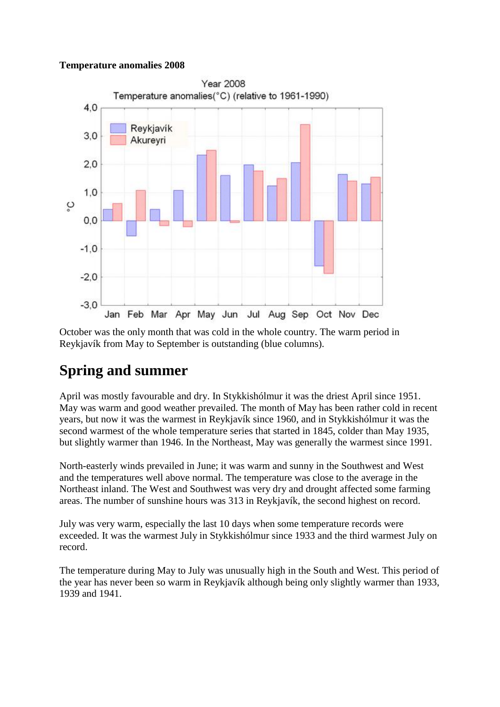#### **Temperature anomalies 2008**



October was the only month that was cold in the whole country. The warm period in Reykjavík from May to September is outstanding (blue columns).

# **Spring and summer**

April was mostly favourable and dry. In Stykkishólmur it was the driest April since 1951. May was warm and good weather prevailed. The month of May has been rather cold in recent years, but now it was the warmest in Reykjavík since 1960, and in Stykkishólmur it was the second warmest of the whole temperature series that started in 1845, colder than May 1935, but slightly warmer than 1946. In the Northeast, May was generally the warmest since 1991.

North-easterly winds prevailed in June; it was warm and sunny in the Southwest and West and the temperatures well above normal. The temperature was close to the average in the Northeast inland. The West and Southwest was very dry and drought affected some farming areas. The number of sunshine hours was 313 in Reykjavík, the second highest on record.

July was very warm, especially the last 10 days when some temperature records were exceeded. It was the warmest July in Stykkishólmur since 1933 and the third warmest July on record.

The temperature during May to July was unusually high in the South and West. This period of the year has never been so warm in Reykjavík although being only slightly warmer than 1933, 1939 and 1941.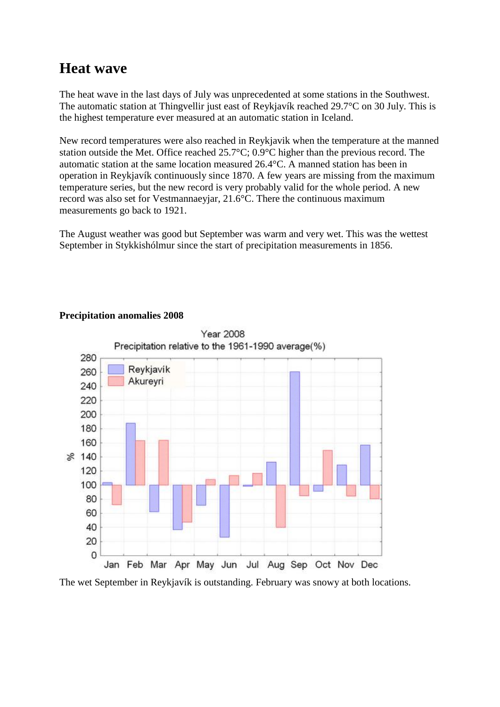### **Heat wave**

The heat wave in the last days of July was unprecedented at some stations in the Southwest. The automatic station at Thingvellir just east of Reykjavík reached 29.7°C on 30 July. This is the highest temperature ever measured at an automatic station in Iceland.

New record temperatures were also reached in Reykjavik when the temperature at the manned station outside the Met. Office reached 25.7°C; 0.9°C higher than the previous record. The automatic station at the same location measured 26.4°C. A manned station has been in operation in Reykjavík continuously since 1870. A few years are missing from the maximum temperature series, but the new record is very probably valid for the whole period. A new record was also set for Vestmannaeyjar, 21.6°C. There the continuous maximum measurements go back to 1921.

The August weather was good but September was warm and very wet. This was the wettest September in Stykkishólmur since the start of precipitation measurements in 1856.



#### **Precipitation anomalies 2008**

The wet September in Reykjavík is outstanding. February was snowy at both locations.